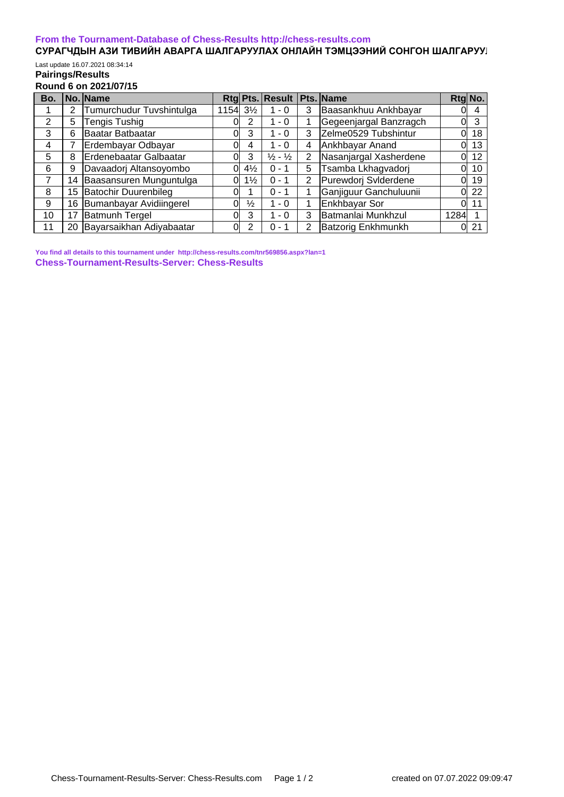## **[From the Tournament-Database of Chess-Results http://chess-results.com](http://chess-results.com/)**

## СУРАГЧДЫН АЗИ ТИВИЙН АВАРГА ШАЛГАРУУЛАХ ОНЛАЙН ТЭМЦЭЭНИЙ СОНГОН ШАЛГАРУУ**Л** Last update 16.07.2021 08:34:14

## **Pairings/Results Round 6 on 2021/07/15**

| Bo. |    | No. Name                    |           |                | Rtg Pts. Result               |   | Pts. Name              | Rtg No. |    |
|-----|----|-----------------------------|-----------|----------------|-------------------------------|---|------------------------|---------|----|
|     | 2  | Tumurchudur Tuvshintulga    | 1154 31/2 |                | $1 - 0$                       | 3 | Baasankhuu Ankhbayar   |         | 4  |
| 2   | 5  | Tengis Tushig               |           | 2              | - 0                           |   | Gegeenjargal Banzragch | 01      | 3  |
| 3   | 6  | Baatar Batbaatar            |           | 3              | $1 - 0$                       | 3 | Zelme0529 Tubshintur   | N       | 18 |
| 4   |    | Erdembayar Odbayar          |           | 4              | $1 - 0$                       | 4 | Ankhbayar Anand        |         | 13 |
| 5   | 8  | Erdenebaatar Galbaatar      |           | 3              | $\frac{1}{2}$ - $\frac{1}{2}$ | 2 | Nasanjargal Xasherdene | Οl      | 12 |
| 6   | 9  | Davaadorj Altansoyombo      | Ωl        | $4\frac{1}{2}$ | $0 - 1$                       | 5 | Tsamba Lkhagvadorj     | Ol      | 10 |
|     | 14 | Baasansuren Munguntulga     | Ωl        | $1\frac{1}{2}$ | $0 - 1$                       | 2 | Purewdorj Sviderdene   |         | 19 |
| 8   | 15 | <b>Batochir Duurenbileg</b> |           |                | $0 - 1$                       |   | Ganjiguur Ganchuluunii |         | 22 |
| 9   | 16 | Bumanbayar Avidiingerel     | Ωl        | $\frac{1}{2}$  | $1 - 0$                       |   | Enkhbayar Sor          | 01      | 11 |
| 10  | 17 | <b>Batmunh Tergel</b>       |           | 3              | $1 - 0$                       | 3 | Batmanlai Munkhzul     | 1284    |    |
| 11  | 20 | Bayarsaikhan Adiyabaatar    | Ol        | 2              | $0 - 1$                       | 2 | Batzorig Enkhmunkh     |         | 21 |

**[You find all details to this tournament under http://chess-results.com/tnr569856.aspx?lan=1](http://chess-results.com/tnr569856.aspx?lan=1) [Chess-Tournament-Results-Server: Chess-Results](http://chess-results.com/)**